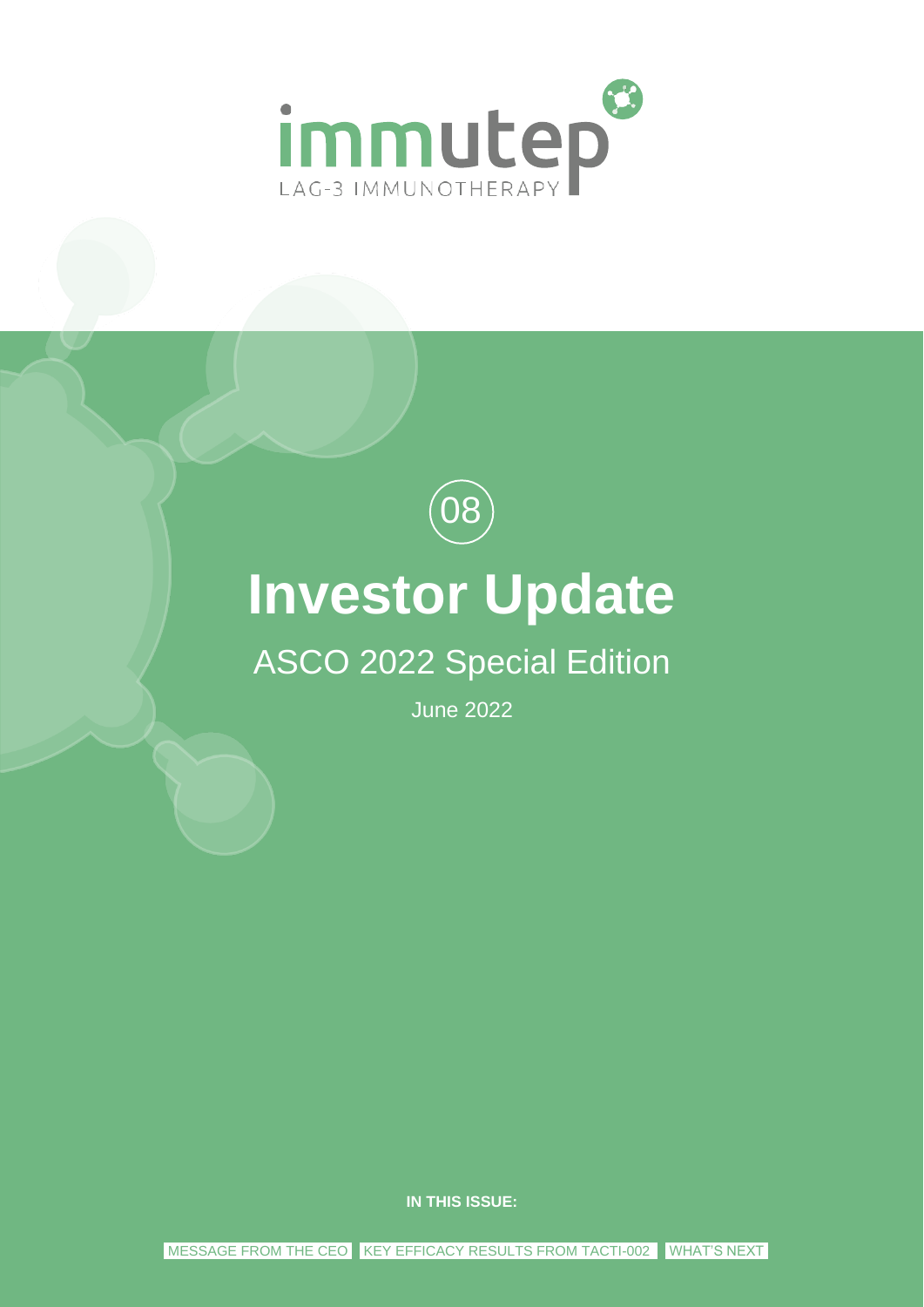



# **Investor Update**

# ASCO 2022 Special Edition

June 2022

**IN THIS ISSUE:**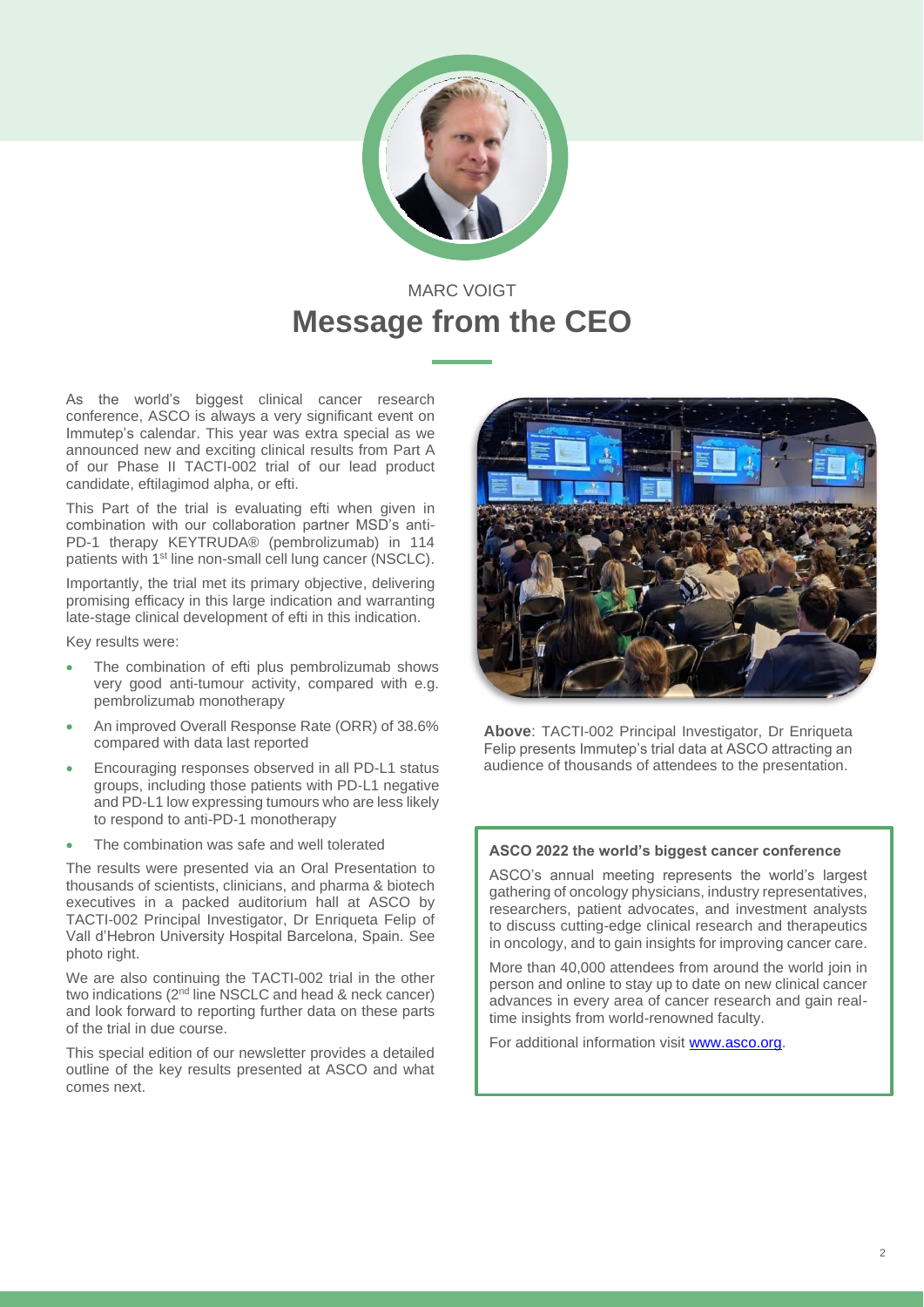

### MARC VOIGT **Message from the CEO**

As the world's biggest clinical cancer research conference, ASCO is always a very significant event on Immutep's calendar. This year was extra special as we announced new and exciting clinical results from Part A of our Phase II TACTI-002 trial of our lead product candidate, eftilagimod alpha, or efti.

This Part of the trial is evaluating efti when given in combination with our collaboration partner MSD's anti-PD-1 therapy KEYTRUDA® (pembrolizumab) in 114 patients with 1<sup>st</sup> line non-small cell lung cancer (NSCLC).

Importantly, the trial met its primary objective, delivering promising efficacy in this large indication and warranting late-stage clinical development of efti in this indication.

Key results were:

- The combination of efti plus pembrolizumab shows very good anti-tumour activity, compared with e.g. pembrolizumab monotherapy
- An improved Overall Response Rate (ORR) of 38.6% compared with data last reported
- Encouraging responses observed in all PD-L1 status groups, including those patients with PD-L1 negative and PD-L1 low expressing tumours who are less likely to respond to anti-PD-1 monotherapy
- The combination was safe and well tolerated

The results were presented via an Oral Presentation to thousands of scientists, clinicians, and pharma & biotech executives in a packed auditorium hall at ASCO by TACTI-002 Principal Investigator, Dr Enriqueta Felip of Vall d'Hebron University Hospital Barcelona, Spain. See photo right.

We are also continuing the TACTI-002 trial in the other two indications (2<sup>nd</sup> line NSCLC and head & neck cancer) and look forward to reporting further data on these parts of the trial in due course.

This special edition of our newsletter provides a detailed outline of the key results presented at ASCO and what comes next.



**Above**: TACTI-002 Principal Investigator, Dr Enriqueta Felip presents Immutep's trial data at ASCO attracting an audience of thousands of attendees to the presentation.

#### **ASCO 2022 the world's biggest cancer conference**

ASCO's annual meeting represents the world's largest gathering of oncology physicians, industry representatives, researchers, patient advocates, and investment analysts to discuss cutting-edge clinical research and therapeutics in oncology, and to gain insights for improving cancer care.

More than 40,000 attendees from around the world join in person and online to stay up to date on new clinical cancer advances in every area of cancer research and gain realtime insights from world-renowned faculty.

For additional information visit [www.asco.org.](http://www.asco.org/)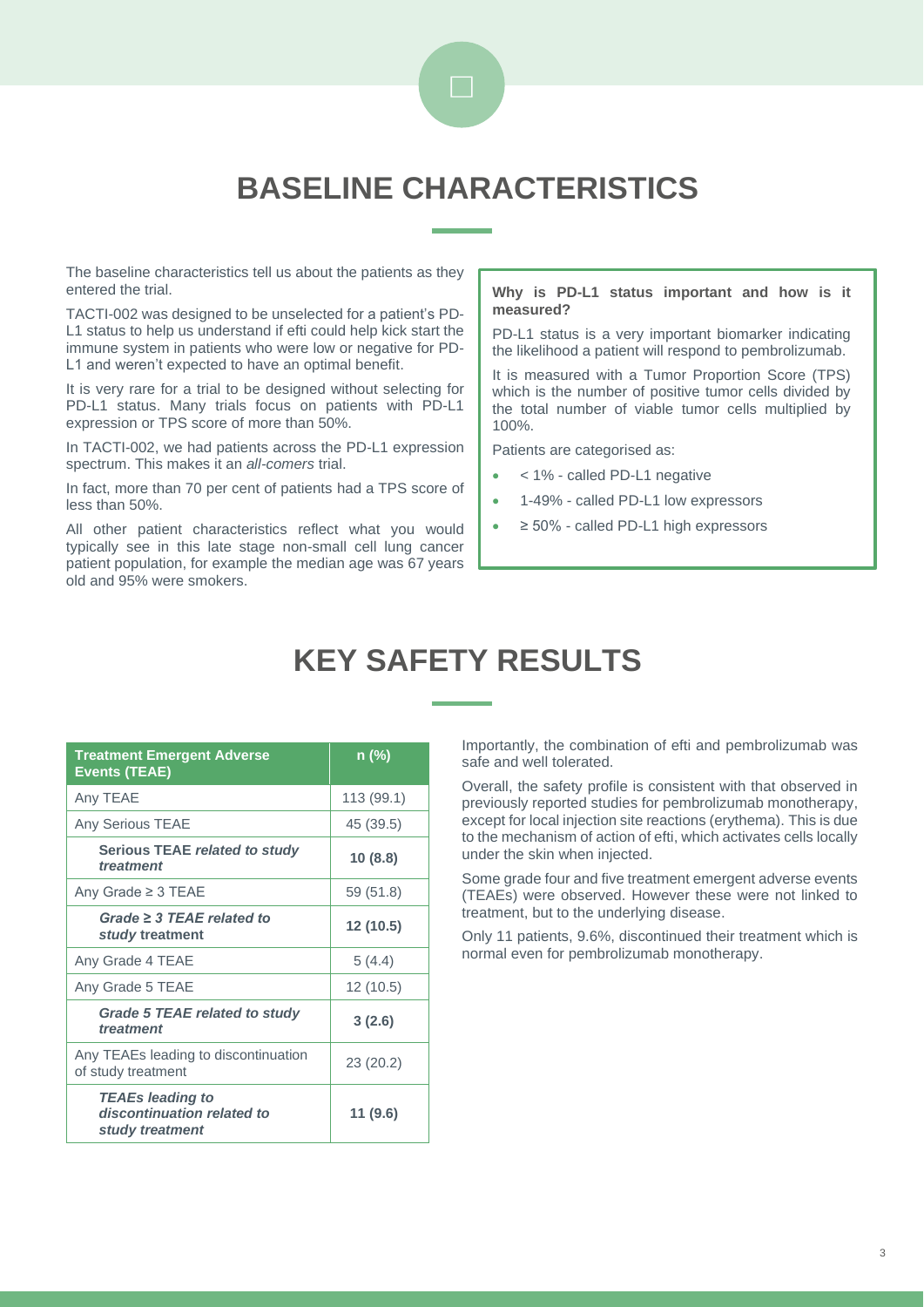

### **BASELINE CHARACTERISTICS**

The baseline characteristics tell us about the patients as they entered the trial.

TACTI-002 was designed to be unselected for a patient's PD-L1 status to help us understand if efti could help kick start the immune system in patients who were low or negative for PD-L1 and weren't expected to have an optimal benefit.

It is very rare for a trial to be designed without selecting for PD-L1 status. Many trials focus on patients with PD-L1 expression or TPS score of more than 50%.

In TACTI-002, we had patients across the PD-L1 expression spectrum. This makes it an *all-comers* trial.

In fact, more than 70 per cent of patients had a TPS score of less than 50%.

All other patient characteristics reflect what you would typically see in this late stage non-small cell lung cancer patient population, for example the median age was 67 years old and 95% were smokers.

#### **Why is PD-L1 status important and how is it measured?**

PD-L1 status is a very important biomarker indicating the likelihood a patient will respond to pembrolizumab.

It is measured with a Tumor Proportion Score (TPS) which is the number of positive tumor cells divided by the total number of viable tumor cells multiplied by 100%.

Patients are categorised as:

- < 1% called PD-L1 negative
- 1-49% called PD-L1 low expressors
- $\geq$  50% called PD-L1 high expressors

### **KEY SAFETY RESULTS**

| <b>Treatment Emergent Adverse</b><br><b>Events (TEAE)</b>                | n (%)      |
|--------------------------------------------------------------------------|------------|
| Any TEAE                                                                 | 113 (99.1) |
| <b>Any Serious TEAE</b>                                                  | 45 (39.5)  |
| Serious TEAE related to study<br>treatment                               | 10(8.8)    |
| Any Grade $\geq$ 3 TEAE                                                  | 59 (51.8)  |
| Grade $\geq$ 3 TEAE related to<br>study treatment                        | 12 (10.5)  |
| Any Grade 4 TEAE                                                         | 5(4.4)     |
| Any Grade 5 TEAE                                                         | 12 (10.5)  |
| Grade 5 TEAE related to study<br>treatment                               | 3(2.6)     |
| Any TEAEs leading to discontinuation<br>of study treatment               | 23 (20.2)  |
| <b>TEAEs leading to</b><br>discontinuation related to<br>study treatment | 11 (9.6)   |

Importantly, the combination of efti and pembrolizumab was safe and well tolerated.

Overall, the safety profile is consistent with that observed in previously reported studies for pembrolizumab monotherapy, except for local injection site reactions (erythema). This is due to the mechanism of action of efti, which activates cells locally under the skin when injected.

Some grade four and five treatment emergent adverse events (TEAEs) were observed. However these were not linked to treatment, but to the underlying disease.

Only 11 patients, 9.6%, discontinued their treatment which is normal even for pembrolizumab monotherapy.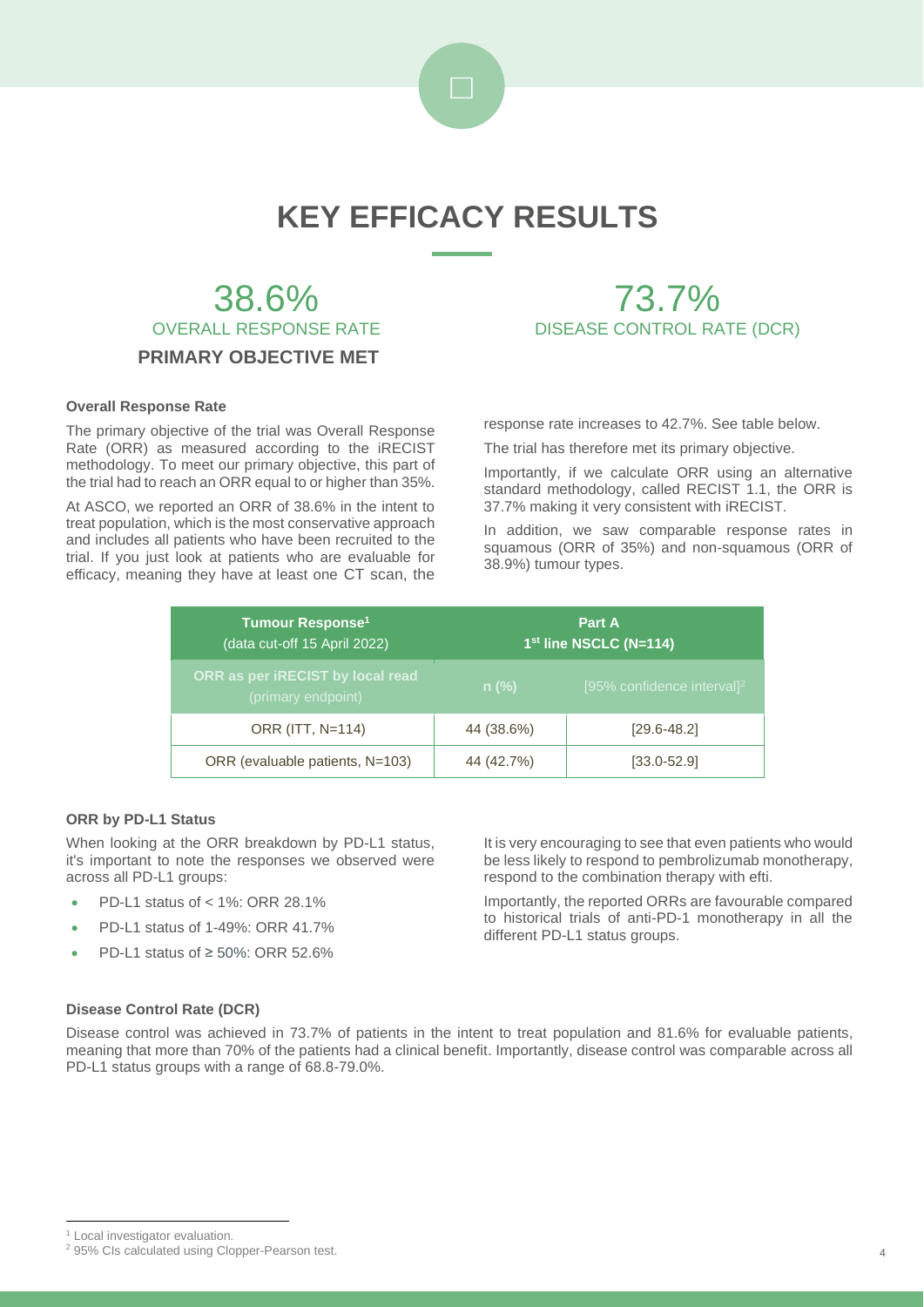

## **KEY EFFICACY RESULTS**

### 38.6% OVERALL RESPONSE RATE **PRIMARY OBJECTIVE MET**

#### **Overall Response Rate**

The primary objective of the trial was Overall Response Rate (ORR) as measured according to the iRECIST methodology. To meet our primary objective, this part of the trial had to reach an ORR equal to or higher than 35%.

At ASCO, we reported an ORR of 38.6% in the intent to treat population, which is the most conservative approach and includes all patients who have been recruited to the trial. If you just look at patients who are evaluable for efficacy, meaning they have at least one CT scan, the

response rate increases to 42.7%. See table below.

73.7% DISEASE CONTROL RATE (DCR)

The trial has therefore met its primary objective.

Importantly, if we calculate ORR using an alternative standard methodology, called RECIST 1.1, the ORR is 37.7% making it very consistent with iRECIST.

In addition, we saw comparable response rates in squamous (ORR of 35%) and non-squamous (ORR of 38.9%) tumour types.

| <b>Tumour Response<sup>1</sup></b><br>(data cut-off 15 April 2022) | Part A<br>1st line NSCLC (N=114) |                                        |  |
|--------------------------------------------------------------------|----------------------------------|----------------------------------------|--|
| ORR as per iRECIST by local read<br>(primary endpoint)             | $n$ (%)                          | [95% confidence interval] <sup>2</sup> |  |
| ORR (ITT, N=114)                                                   | 44 (38.6%)                       | $[29.6 - 48.2]$                        |  |
| ORR (evaluable patients, N=103)                                    | 44 (42.7%)                       | $[33.0 - 52.9]$                        |  |

#### **ORR by PD-L1 Status**

When looking at the ORR breakdown by PD-L1 status, it's important to note the responses we observed were across all PD-L1 groups:

- PD-L1 status of < 1%: ORR 28.1%
- PD-L1 status of 1-49%: ORR 41.7%
- PD-L1 status of ≥ 50%: ORR 52.6%

It is very encouraging to see that even patients who would be less likely to respond to pembrolizumab monotherapy, respond to the combination therapy with efti.

Importantly, the reported ORRs are favourable compared to historical trials of anti-PD-1 monotherapy in all the different PD-L1 status groups.

#### **Disease Control Rate (DCR)**

Disease control was achieved in 73.7% of patients in the intent to treat population and 81.6% for evaluable patients, meaning that more than 70% of the patients had a clinical benefit. Importantly, disease control was comparable across all PD-L1 status groups with a range of 68.8-79.0%.

<sup>&</sup>lt;sup>1</sup> Local investigator evaluation.

<sup>&</sup>lt;sup>2</sup> 95% CIs calculated using Clopper-Pearson test.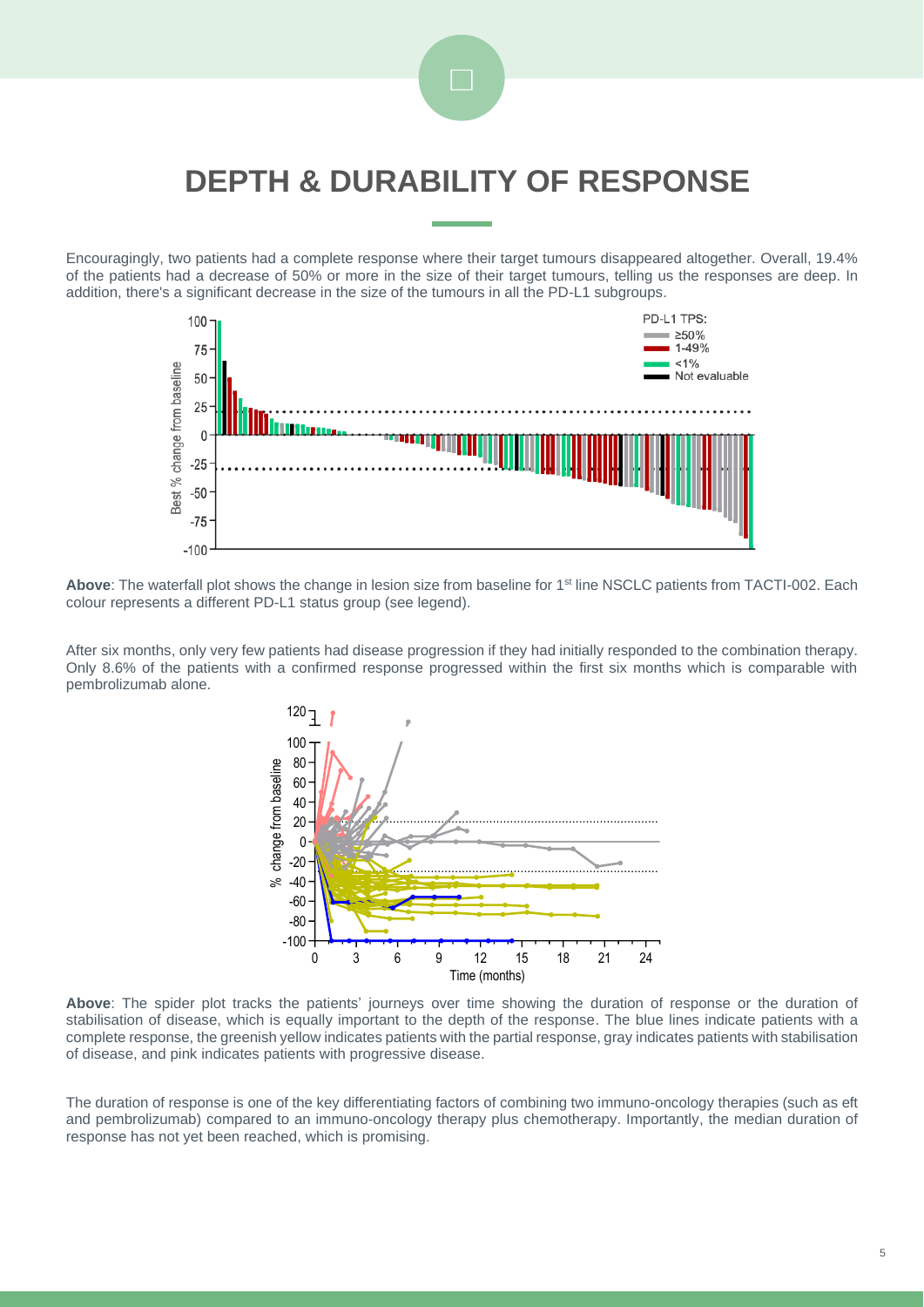

### **DEPTH & DURABILITY OF RESPONSE**

Encouragingly, two patients had a complete response where their target tumours disappeared altogether. Overall, 19.4% of the patients had a decrease of 50% or more in the size of their target tumours, telling us the responses are deep. In addition, there's a significant decrease in the size of the tumours in all the PD-L1 subgroups.



Above: The waterfall plot shows the change in lesion size from baseline for 1<sup>st</sup> line NSCLC patients from TACTI-002. Each colour represents a different PD-L1 status group (see legend).

After six months, only very few patients had disease progression if they had initially responded to the combination therapy. Only 8.6% of the patients with a confirmed response progressed within the first six months which is comparable with pembrolizumab alone.



**Above**: The spider plot tracks the patients' journeys over time showing the duration of response or the duration of stabilisation of disease, which is equally important to the depth of the response. The blue lines indicate patients with a complete response, the greenish yellow indicates patients with the partial response, gray indicates patients with stabilisation of disease, and pink indicates patients with progressive disease.

The duration of response is one of the key differentiating factors of combining two immuno-oncology therapies (such as eft and pembrolizumab) compared to an immuno-oncology therapy plus chemotherapy. Importantly, the median duration of response has not yet been reached, which is promising.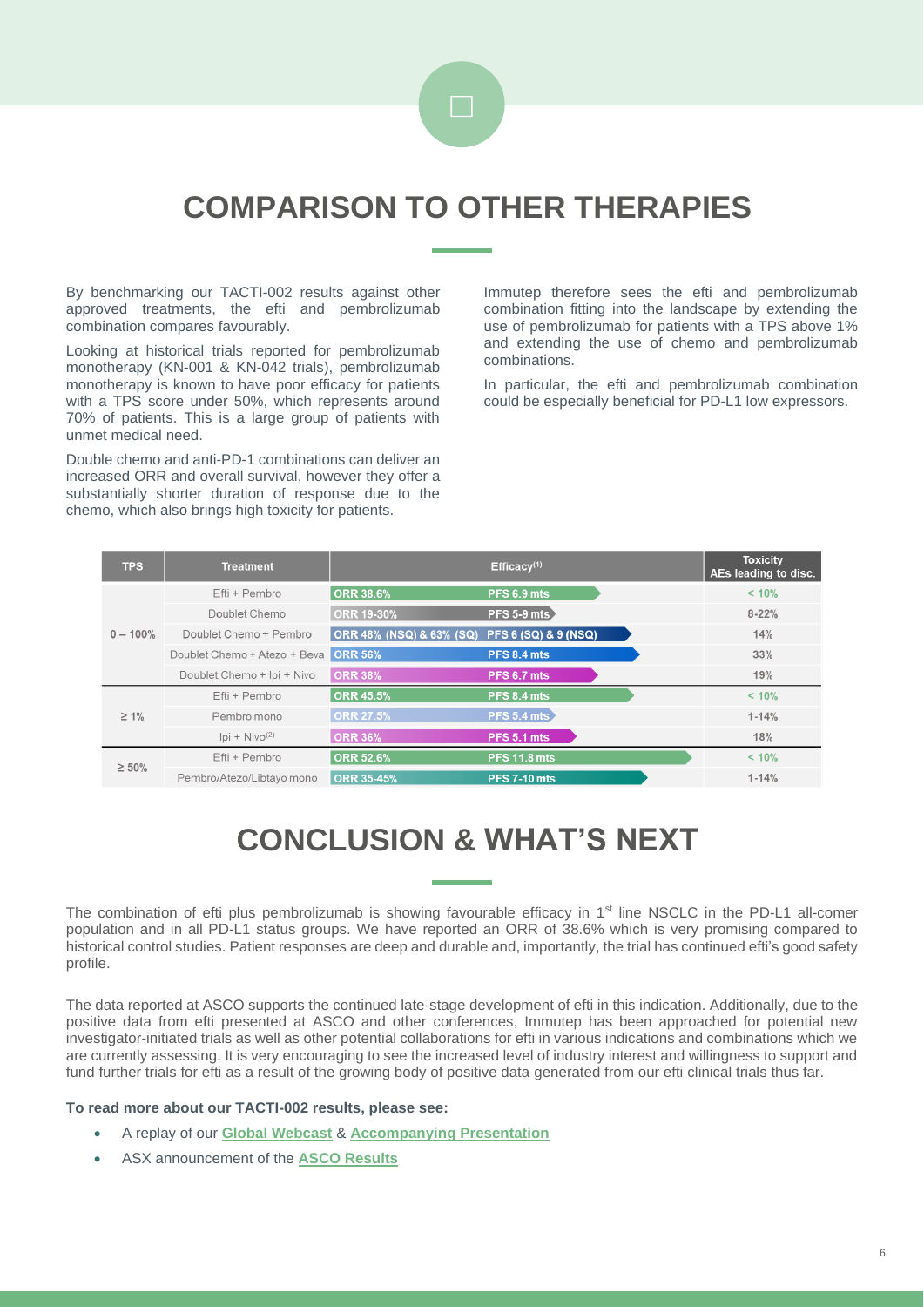

### **COMPARISON TO OTHER THERAPIES**

By benchmarking our TACTI-002 results against other approved treatments, the efti and pembrolizumab combination compares favourably.

Looking at historical trials reported for pembrolizumab monotherapy (KN-001 & KN-042 trials), pembrolizumab monotherapy is known to have poor efficacy for patients with a TPS score under 50%, which represents around 70% of patients. This is a large group of patients with unmet medical need.

Double chemo and anti-PD-1 combinations can deliver an increased ORR and overall survival, however they offer a substantially shorter duration of response due to the chemo, which also brings high toxicity for patients.

Immutep therefore sees the efti and pembrolizumab combination fitting into the landscape by extending the use of pembrolizumab for patients with a TPS above 1% and extending the use of chemo and pembrolizumab combinations.

In particular, the efti and pembrolizumab combination could be especially beneficial for PD-L1 low expressors.

| <b>TPS</b>  | Treatment                    |                                     | Efficacy <sup>(1)</sup>         | <b>Toxicity</b><br>AEs leading to disc. |
|-------------|------------------------------|-------------------------------------|---------------------------------|-----------------------------------------|
| $0 - 100%$  | Efti + Pembro                | <b>ORR 38.6%</b>                    | PFS 6.9 mts                     | < 10%                                   |
|             | Doublet Chemo                | <b>ORR 19-30%</b>                   | PFS 5-9 mts                     | $8 - 22%$                               |
|             | Doublet Chemo + Pembro       | <b>ORR 48% (NSQ) &amp; 63% (SQ)</b> | <b>PFS 6 (SQ) &amp; 9 (NSQ)</b> | 14%                                     |
|             | Doublet Chemo + Atezo + Beva | <b>ORR 56%</b>                      | PFS 8.4 mts                     | 33%                                     |
|             | Doublet Chemo + Ipi + Nivo   | <b>ORR 38%</b>                      | PFS 6.7 mts                     | 19%                                     |
| $\geq 1\%$  | Efti + Pembro                | <b>ORR 45.5%</b>                    | PFS 8.4 mts                     | < 10%                                   |
|             | Pembro mono                  | <b>ORR 27.5%</b>                    | <b>PFS 5.4 mts</b>              | $1 - 14%$                               |
|             | $ pi + Nivo^{(2)} $          | <b>ORR 36%</b>                      | PFS 5.1 mts                     | 18%                                     |
| $\geq 50\%$ | Efti + Pembro                | <b>ORR 52.6%</b>                    | <b>PFS 11.8 mts</b>             | < 10%                                   |
|             | Pembro/Atezo/Libtayo mono    | <b>ORR 35-45%</b>                   | <b>PFS 7-10 mts</b>             | $1 - 14%$                               |

# **CONCLUSION & WHAT'S NEXT**

The combination of efti plus pembrolizumab is showing favourable efficacy in 1<sup>st</sup> line NSCLC in the PD-L1 all-comer population and in all PD-L1 status groups. We have reported an ORR of 38.6% which is very promising compared to historical control studies. Patient responses are deep and durable and, importantly, the trial has continued efti's good safety profile.

The data reported at ASCO supports the continued late-stage development of efti in this indication. Additionally, due to the positive data from efti presented at ASCO and other conferences, Immutep has been approached for potential new investigator-initiated trials as well as other potential collaborations for efti in various indications and combinations which we are currently assessing. It is very encouraging to see the increased level of industry interest and willingness to support and fund further trials for efti as a result of the growing body of positive data generated from our efti clinical trials thus far.

#### **To read more about our TACTI-002 results, please see:**

- A replay of our **[Global Webcast](https://www.finnewsnetwork.com.au/MediaCenter/MediaCenterMobile.aspx?Site=FNN2183)** & **[Accompanying Presentation](https://app.sharelinktechnologies.com/announcement/asx/924b471b4ed88105ad6bab3e98eb0ee4)**
- ASX announcement of the **[ASCO Results](https://app.sharelinktechnologies.com/announcement/asx/c895b7682eeb363c6eb6bf5e68c9dd3b)**